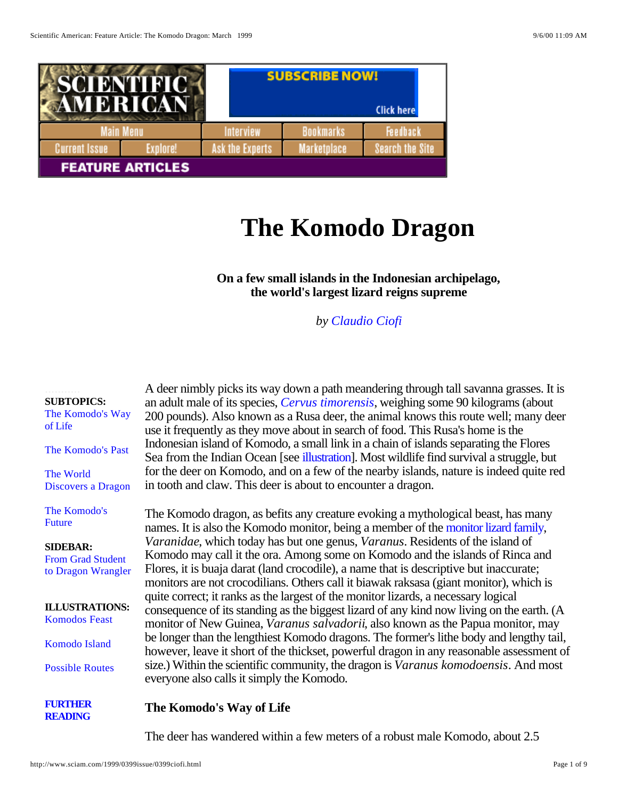|                         |          | <b>SUBSCRIBE NOW!</b>   |                  |                   |
|-------------------------|----------|-------------------------|------------------|-------------------|
|                         |          | <b>Click here</b>       |                  |                   |
| <b>Main Menu</b>        |          | <i><b>Interview</b></i> | <b>Bookmarks</b> | Feedback          |
| Current Issue           | Explore! | Ask the Experts         | Marketplace      | <b>Search the</b> |
| <b>FEATURE ARTICLES</b> |          |                         |                  |                   |

# **The Komodo Dragon**

# **On a few small islands in the Indonesian archipelago, the world's largest lizard reigns supreme**

*by Claudio Ciofi*

#### **SUBTOPICS:**

The Komodo's Way of Life

The Komodo's Past

The World Discovers a Dragon

The Komodo's Future

#### **SIDEBAR:**

From Grad Student to Dragon Wrangler

#### **ILLUSTRATIONS:** Komodos Feast

Komodo Island

Possible Routes

**FURTHER READING**

# **The Komodo's Way of Life**

everyone also calls it simply the Komodo.

The deer has wandered within a few meters of a robust male Komodo, about 2.5

A deer nimbly picks its way down a path meandering through tall savanna grasses. It is an adult male of its species, Cervus timorensis, weighing some 90 kilograms (about 200 pounds). Also known as a Rusa deer, the animal knows this route well; many deer use it frequently as they move about in search of food. This Rusa's home is the Indonesian island of Komodo, a small link in a chain of islands separating the Flores Sea from the Indian Ocean [see illustration]. Most wildlife find survival a struggle, but for the deer on Komodo, and on a few of the nearby islands, nature is indeed quite red in tooth and claw. This deer is about to encounter a dragon.

The Komodo dragon, as befits any creature evoking a mythological beast, has many names. It is also the Komodo monitor, being a member of the monitor lizard family, Varanidae, which today has but one genus, Varanus. Residents of the island of Komodo may call it the ora. Among some on Komodo and the islands of Rinca and Flores, it is buaja darat (land crocodile), a name that is descriptive but inaccurate; monitors are not crocodilians. Others call it biawak raksasa (giant monitor), which is

consequence of its standing as the biggest lizard of any kind now living on the earth. (A monitor of New Guinea, Varanus salvadorii, also known as the Papua monitor, may be longer than the lengthiest Komodo dragons. The former's lithe body and lengthy tail, however, leave it short of the thickset, powerful dragon in any reasonable assessment of size.) Within the scientific community, the dragon is Varanus komodoensis. And most

quite correct; it ranks as the largest of the monitor lizards, a necessary logical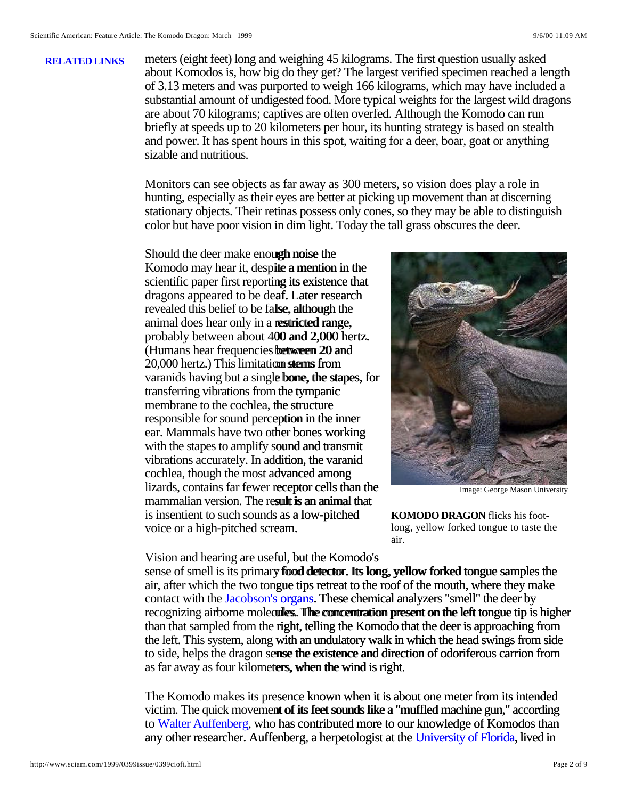**RELATED LINKS** meters (eight feet) long and weighing 45 kilograms. The first question usually asked about Komodos is, how big do they get? The largest verified specimen reached a length of 3.13 meters and was purported to weigh 166 kilograms, which may have included a substantial amount of undigested food. More typical weights for the largest wild dragons are about 70 kilograms; captives are often overfed. Although the Komodo can run briefly at speeds up to 20 kilometers per hour, its hunting strategy is based on stealth and power. It has spent hours in this spot, waiting for a deer, boar, goat or anything sizable and nutritious.

> Monitors can see objects as far away as 300 meters, so vision does play a role in hunting, especially as their eyes are better at picking up movement than at discerning stationary objects. Their retinas possess only cones, so they may be able to distinguish color but have poor vision in dim light. Today the tall grass obscures the deer.

Should the deer make enough noise the Komodo may hear it, despite a mention in the scientific paper first reporting its existence that dragons appeared to be deaf. Later research revealed this belief to be false, although the animal does hear only in a restricted range, probably between about 400 and 2,000 hertz. (Humans hear frequencies between 20 and 20,000 hertz.) This limitation stems from varanids having but a single bone, the stapes, for transferring vibrations from the tympanic membrane to the cochlea, the structure responsible for sound perception in the inner ear. Mammals have two other bones working with the stapes to amplify sound and transmit vibrations accurately. In addition, the varanid cochlea, though the most advanced among lizards, contains far fewer receptor cells than the mammalian version. The result is an animal that is insentient to such sounds as a low-pitched voice or a high-pitched scream. the deer make enough noise the<br>
to may be a mention in the<br>
it opayer first reporting its existence that<br>
is appear of to be dear. Later research of<br>
dhis belief to be false, although the<br>
dots hear only in a restricted ra EFFROM THE CONSULTER CONSULTER CONSULTER (For the Consumer Consumer Consumer Consumer Consumer Consumer Consumer Consumer Consumer Consumer Consumer Consumer Consumer Consumer Consumer Consumer Consumer Consumer Consumer

Vision and hearing are useful, but the Komodo's



Image: George Mason University

KOMODO DRAGON flicks his footlong, yellow forked tongue to taste the air.

sense of smell is its primary food detector. Its long, yellow forked tongue samples the air, after which the two tongue tips retreat to the roof of the mouth, where they make contact with the Jacobson's organs. These chemical analyzers "smell" the deer by recognizing airborne molecules. The concentration present on the left tongue tip is higher than that sampled from the right, telling the Komodo that the deer is approaching from the left. This system, along with an undulatory walk in which the head swings from side to side, helps the dragon sense the existence and direction of odoriferous carrion from as far away as four kilometers, when the wind is right.

The Komodo makes its presence known when it is about one meter from its intended victim. The quick movement of its feet sounds like a "muffled machine gun," according to Walter Auffenberg, who has contributed more to our knowledge of Komodos than any other researcher. Auffenberg, a herpetologist at the University of Florida, lived in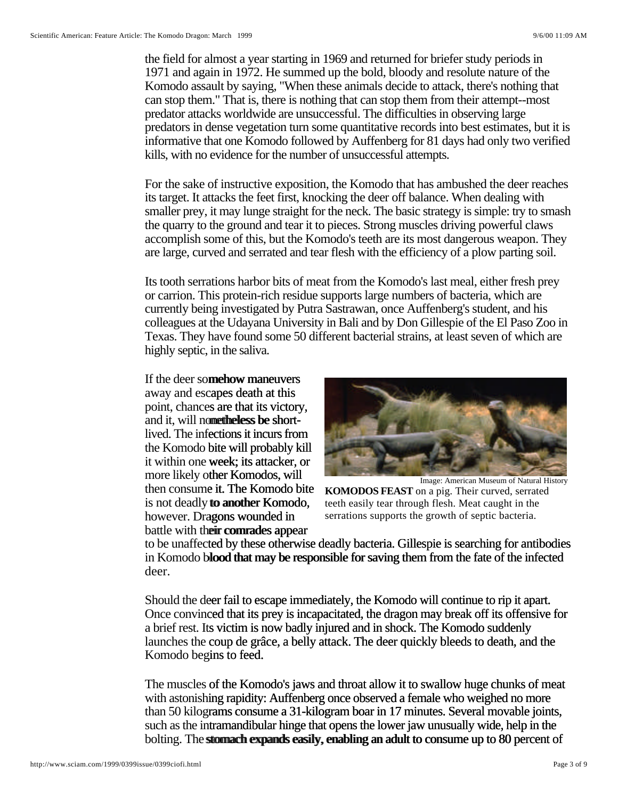the field for almost a year starting in 1969 and returned for briefer study periods in 1971 and again in 1972. He summed up the bold, bloody and resolute nature of the Komodo assault by saying, "When these animals decide to attack, there's nothing that can stop them." That is, there is nothing that can stop them from their attempt--most predator attacks worldwide are unsuccessful. The difficulties in observing large predators in dense vegetation turn some quantitative records into best estimates, but it is informative that one Komodo followed by Auffenberg for 81 days had only two verified kills, with no evidence for the number of unsuccessful attempts. isoms somen trans some in the figure and the particular and the bottleth of the bottleth and the matter of the bottleth and the bottleth and the bottleth and the state of the state of the state of the state of the state o

For the sake of instructive exposition, the Komodo that has ambushed the deer reaches its target. It attacks the feet first, knocking the deer off balance. When dealing with smaller prey, it may lunge straight for the neck. The basic strategy is simple: try to smash the quarry to the ground and tear it to pieces. Strong muscles driving powerful claws accomplish some of this, but the Komodo's teeth are its most dangerous weapon. They are large, curved and serrated and tear flesh with the efficiency of a plow parting soil.

Its tooth serrations harbor bits of meat from the Komodo's last meal, either fresh prey or carrion. This protein-rich residue supports large numbers of bacteria, which are currently being investigated by Putra Sastrawan, once Auffenberg's student, and his colleagues at the Udayana University in Bali and by Don Gillespie of the El Paso Zoo in Texas. They have found some 50 different bacterial strains, at least seven of which are highly septic, in the saliva.

If the deer somehow maneuvers away and escapes death at this point, chances are that its victory, and it, will nonetheless be shortlived. The infections it incurs from the Komodo bite will probably kill it within one week; its attacker, or more likely other Komodos, will then consume it. The Komodo bite is not deadly to another Komodo, however. Dragons wounded in battle with their comrades appear



Image: American Museum of Natural History KOMODOS FEAST on a pig. Their curved, serrated teeth easily tear through flesh. Meat caught in the serrations supports the growth of septic bacteria.

to be unaffected by these otherwise deadly bacteria. Gillespie is searching for antibodies in Komodo blood that may be responsible for saving them from the fate of the infected deer.

Should the deer fail to escape immediately, the Komodo will continue to rip it apart. Once convinced that its prey is incapacitated, the dragon may break off its offensive for a brief rest. Its victim is now badly injured and in shock. The Komodo suddenly launches the coup de grâce, a belly attack. The deer quickly bleeds to death, and the Komodo begins to feed.

The muscles of the Komodo's jaws and throat allow it to swallow huge chunks of meat with astonishing rapidity: Auffenberg once observed a female who weighed no more than 50 kilograms consume a 31-kilogram boar in 17 minutes. Several movable joints, such as the intramandibular hinge that opens the lower jaw unusually wide, help in the bolting. The **stomach expands easily, enabling an adult to consume up to 80 percent of**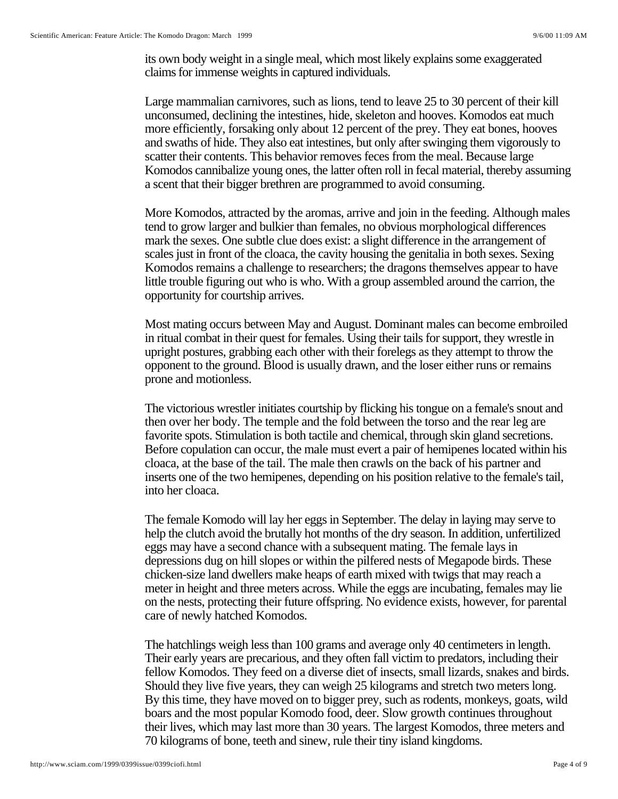its own body weight in a single meal, which most likely explains some exaggerated claims for immense weights in captured individuals.

Large mammalian carnivores, such as lions, tend to leave 25 to 30 percent of their kill unconsumed, declining the intestines, hide, skeleton and hooves. Komodos eat much more efficiently, forsaking only about 12 percent of the prey. They eat bones, hooves and swaths of hide. They also eat intestines, but only after swinging them vigorously to scatter their contents. This behavior removes feces from the meal. Because large Komodos cannibalize young ones, the latter often roll in fecal material, thereby assuming a scent that their bigger brethren are programmed to avoid consuming.

More Komodos, attracted by the aromas, arrive and join in the feeding. Although males tend to grow larger and bulkier than females, no obvious morphological differences mark the sexes. One subtle clue does exist: a slight difference in the arrangement of scales just in front of the cloaca, the cavity housing the genitalia in both sexes. Sexing Komodos remains a challenge to researchers; the dragons themselves appear to have little trouble figuring out who is who. With a group assembled around the carrion, the opportunity for courtship arrives.

Most mating occurs between May and August. Dominant males can become embroiled in ritual combat in their quest for females. Using their tails for support, they wrestle in upright postures, grabbing each other with their forelegs as they attempt to throw the opponent to the ground. Blood is usually drawn, and the loser either runs or remains prone and motionless.

The victorious wrestler initiates courtship by flicking his tongue on a female's snout and then over her body. The temple and the fold between the torso and the rear leg are favorite spots. Stimulation is both tactile and chemical, through skin gland secretions. Before copulation can occur, the male must evert a pair of hemipenes located within his cloaca, at the base of the tail. The male then crawls on the back of his partner and inserts one of the two hemipenes, depending on his position relative to the female's tail, into her cloaca.

The female Komodo will lay her eggs in September. The delay in laying may serve to help the clutch avoid the brutally hot months of the dry season. In addition, unfertilized eggs may have a second chance with a subsequent mating. The female lays in depressions dug on hill slopes or within the pilfered nests of Megapode birds. These chicken-size land dwellers make heaps of earth mixed with twigs that may reach a meter in height and three meters across. While the eggs are incubating, females may lie on the nests, protecting their future offspring. No evidence exists, however, for parental care of newly hatched Komodos.

The hatchlings weigh less than 100 grams and average only 40 centimeters in length. Their early years are precarious, and they often fall victim to predators, including their fellow Komodos. They feed on a diverse diet of insects, small lizards, snakes and birds. Should they live five years, they can weigh 25 kilograms and stretch two meters long. By this time, they have moved on to bigger prey, such as rodents, monkeys, goats, wild boars and the most popular Komodo food, deer. Slow growth continues throughout their lives, which may last more than 30 years. The largest Komodos, three meters and 70 kilograms of bone, teeth and sinew, rule their tiny island kingdoms.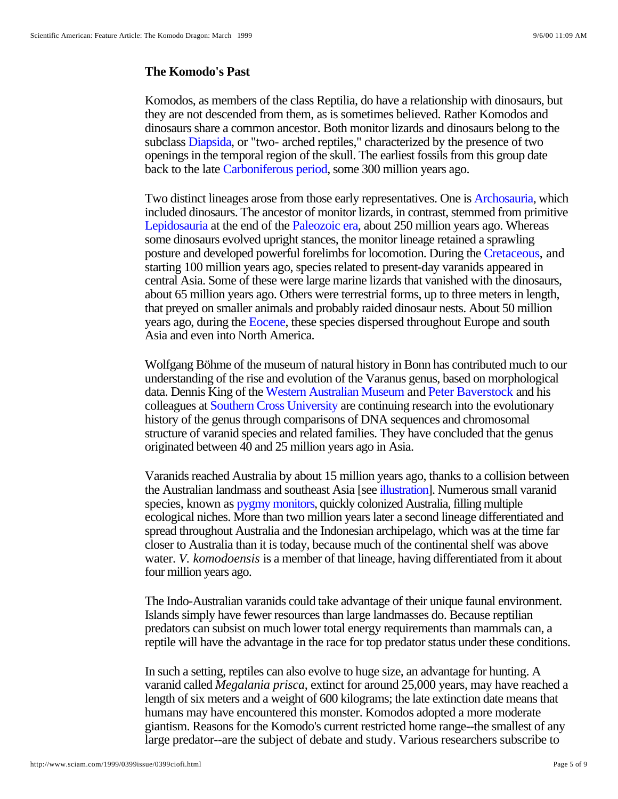#### **The Komodo's Past**

Komodos, as members of the class Reptilia, do have a relationship with dinosaurs, but they are not descended from them, as is sometimes believed. Rather Komodos and dinosaurs share a common ancestor. Both monitor lizards and dinosaurs belong to the subclass Diapsida, or "two- arched reptiles," characterized by the presence of two openings in the temporal region of the skull. The earliest fossils from this group date back to the late Carboniferous period, some 300 million years ago.

Two distinct lineages arose from those early representatives. One is Archosauria, which included dinosaurs. The ancestor of monitor lizards, in contrast, stemmed from primitive Lepidosauria at the end of the Paleozoic era, about 250 million years ago. Whereas some dinosaurs evolved upright stances, the monitor lineage retained a sprawling posture and developed powerful forelimbs for locomotion. During the Cretaceous, and starting 100 million years ago, species related to present-day varanids appeared in central Asia. Some of these were large marine lizards that vanished with the dinosaurs, about 65 million years ago. Others were terrestrial forms, up to three meters in length, that preyed on smaller animals and probably raided dinosaur nests. About 50 million years ago, during the Eocene, these species dispersed throughout Europe and south Asia and even into North America.

Wolfgang Böhme of the museum of natural history in Bonn has contributed much to our understanding of the rise and evolution of the Varanus genus, based on morphological data. Dennis King of the Western Australian Museum and Peter Baverstock and his colleagues at Southern Cross University are continuing research into the evolutionary history of the genus through comparisons of DNA sequences and chromosomal structure of varanid species and related families. They have concluded that the genus originated between 40 and 25 million years ago in Asia.

Varanids reached Australia by about 15 million years ago, thanks to a collision between the Australian landmass and southeast Asia [see illustration]. Numerous small varanid species, known as pygmy monitors, quickly colonized Australia, filling multiple ecological niches. More than two million years later a second lineage differentiated and spread throughout Australia and the Indonesian archipelago, which was at the time far closer to Australia than it is today, because much of the continental shelf was above water. V. komodoensis is a member of that lineage, having differentiated from it about four million years ago.

The Indo-Australian varanids could take advantage of their unique faunal environment. Islands simply have fewer resources than large landmasses do. Because reptilian predators can subsist on much lower total energy requirements than mammals can, a reptile will have the advantage in the race for top predator status under these conditions.

In such a setting, reptiles can also evolve to huge size, an advantage for hunting. A varanid called *Megalania prisca*, extinct for around 25,000 years, may have reached a length of six meters and a weight of 600 kilograms; the late extinction date means that humans may have encountered this monster. Komodos adopted a more moderate giantism. Reasons for the Komodo's current restricted home range--the smallest of any large predator--are the subject of debate and study. Various researchers subscribe to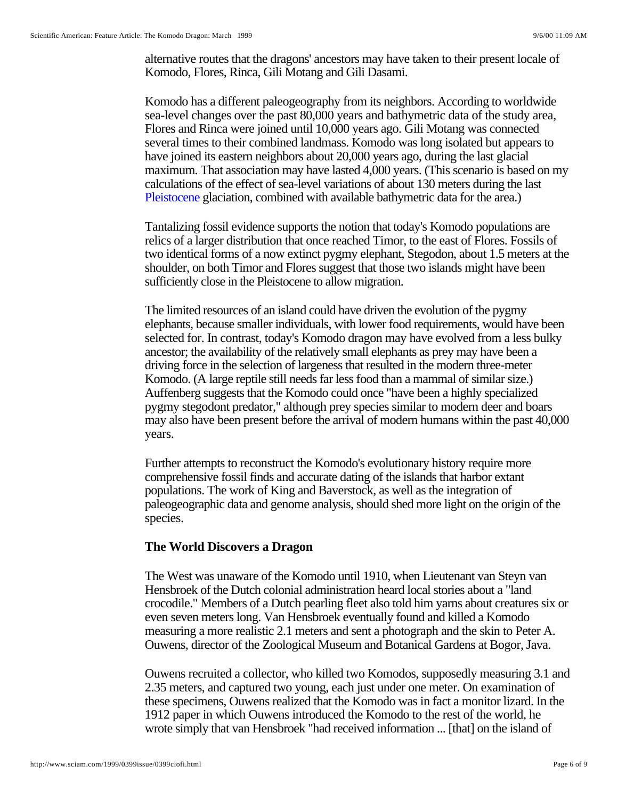alternative routes that the dragons' ancestors may have taken to their present locale of Komodo, Flores, Rinca, Gili Motang and Gili Dasami.

Komodo has a different paleogeography from its neighbors. According to worldwide sea-level changes over the past 80,000 years and bathymetric data of the study area, Flores and Rinca were joined until 10,000 years ago. Gili Motang was connected several times to their combined landmass. Komodo was long isolated but appears to have joined its eastern neighbors about 20,000 years ago, during the last glacial maximum. That association may have lasted 4,000 years. (This scenario is based on my calculations of the effect of sea-level variations of about 130 meters during the last Pleistocene glaciation, combined with available bathymetric data for the area.)

Tantalizing fossil evidence supports the notion that today's Komodo populations are relics of a larger distribution that once reached Timor, to the east of Flores. Fossils of two identical forms of a now extinct pygmy elephant, Stegodon, about 1.5 meters at the shoulder, on both Timor and Flores suggest that those two islands might have been sufficiently close in the Pleistocene to allow migration.

The limited resources of an island could have driven the evolution of the pygmy elephants, because smaller individuals, with lower food requirements, would have been selected for. In contrast, today's Komodo dragon may have evolved from a less bulky ancestor; the availability of the relatively small elephants as prey may have been a driving force in the selection of largeness that resulted in the modern three-meter Komodo. (A large reptile still needs far less food than a mammal of similar size.) Auffenberg suggests that the Komodo could once "have been a highly specialized pygmy stegodont predator," although prey species similar to modern deer and boars may also have been present before the arrival of modern humans within the past 40,000 years.

Further attempts to reconstruct the Komodo's evolutionary history require more comprehensive fossil finds and accurate dating of the islands that harbor extant populations. The work of King and Baverstock, as well as the integration of paleogeographic data and genome analysis, should shed more light on the origin of the species.

#### **The World Discovers a Dragon**

The West was unaware of the Komodo until 1910, when Lieutenant van Steyn van Hensbroek of the Dutch colonial administration heard local stories about a "land crocodile." Members of a Dutch pearling fleet also told him yarns about creatures six or even seven meters long. Van Hensbroek eventually found and killed a Komodo measuring a more realistic 2.1 meters and sent a photograph and the skin to Peter A. Ouwens, director of the Zoological Museum and Botanical Gardens at Bogor, Java.

Ouwens recruited a collector, who killed two Komodos, supposedly measuring 3.1 and 2.35 meters, and captured two young, each just under one meter. On examination of these specimens, Ouwens realized that the Komodo was in fact a monitor lizard. In the 1912 paper in which Ouwens introduced the Komodo to the rest of the world, he wrote simply that van Hensbroek "had received information ... [that] on the island of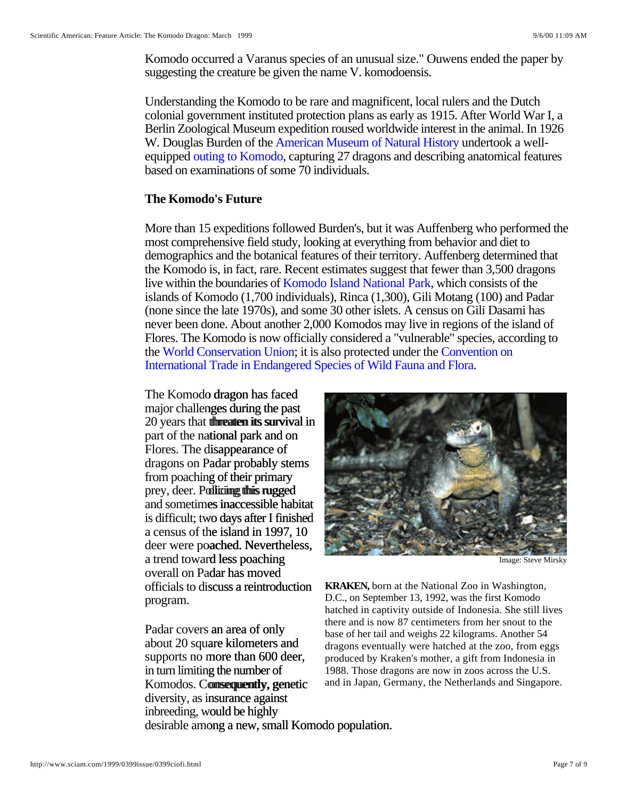Komodo occurred a Varanus species of an unusual size." Ouwens ended the paper by suggesting the creature be given the name V. komodoensis.

Understanding the Komodo to be rare and magnificent, local rulers and the Dutch colonial government instituted protection plans as early as 1915. After World War I, a Berlin Zoological Museum expedition roused worldwide interest in the animal. In 1926 W. Douglas Burden of the American Museum of Natural History undertook a wellequipped outing to Komodo, capturing 27 dragons and describing anatomical features based on examinations of some 70 individuals.

## **The Komodo's Future**

More than 15 expeditions followed Burden's, but it was Auffenberg who performed the most comprehensive field study, looking at everything from behavior and diet to demographics and the botanical features of their territory. Auffenberg determined that the Komodo is, in fact, rare. Recent estimates suggest that fewer than 3,500 dragons live within the boundaries of Komodo Island National Park, which consists of the islands of Komodo (1,700 individuals), Rinca (1,300), Gili Motang (100) and Padar (none since the late 1970s), and some 30 other islets. A census on Gili Dasami has never been done. About another 2,000 Komodos may live in regions of the island of Flores. The Komodo is now officially considered a "vulnerable" species, according to the World Conservation Union; it is also protected under the Convention on . International Trade in Endangered Species of Wild Fauna and Flora Komodo faced conservation of New York Conservation is survival of Policing the Conservation is survivalenges of Policing the Conservation of Policing the Conservation of Policing the Conservation of Policing the Conservati

The Komodo dragon has faced major challenges during the past 20 years that threaten its survival in part of the national park and on Flores. The disappearance of dragons on Padar probably stems from poaching of their primary prey, deer. Policing this rugged and sometimes inaccessible habitat is difficult; two days after I finished a census of the island in 1997, 10 deer were poached. Nevertheless, a trend toward less poaching overall on Padar has moved officials to discuss a reintroduction program.

Padar covers an area of only about 20 square kilometers and supports no more than 600 deer, in turn limiting the number of Komodos. Consequently, genetic diversity, as insurance against inbreeding, would be highly



Image: Steve Mirsky

KRAKEN, born at the National Zoo in Washington, D.C., on September 13, 1992, was the first Komodo hatched in captivity outside of Indonesia. She still lives there and is now 87 centimeters from her snout to the base of her tail and weighs 22 kilograms. Another 54 dragons eventually were hatched at the zoo, from eggs produced by Kraken's mother, a gift from Indonesia in 1988. Those dragons are now in zoos across the U.S. and in Japan, Germany, the Netherlands and Singapore.

desirable among a new, small Komodo population.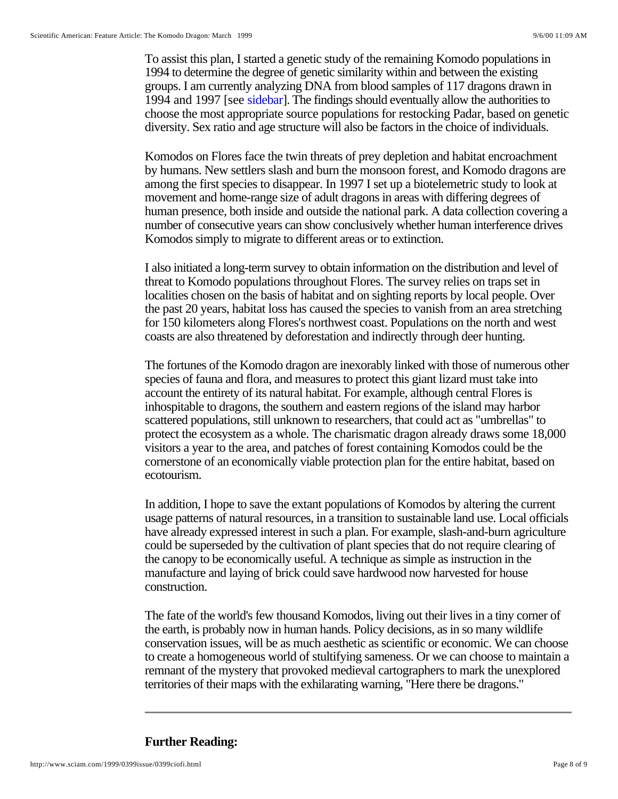To assist this plan, I started a genetic study of the remaining Komodo populations in 1994 to determine the degree of genetic similarity within and between the existing groups. I am currently analyzing DNA from blood samples of 117 dragons drawn in 1994 and 1997 [see sidebar]. The findings should eventually allow the authorities to choose the most appropriate source populations for restocking Padar, based on genetic diversity. Sex ratio and age structure will also be factors in the choice of individuals.

Komodos on Flores face the twin threats of prey depletion and habitat encroachment by humans. New settlers slash and burn the monsoon forest, and Komodo dragons are among the first species to disappear. In 1997 I set up a biotelemetric study to look at movement and home-range size of adult dragons in areas with differing degrees of human presence, both inside and outside the national park. A data collection covering a number of consecutive years can show conclusively whether human interference drives Komodos simply to migrate to different areas or to extinction.

I also initiated a long-term survey to obtain information on the distribution and level of threat to Komodo populations throughout Flores. The survey relies on traps set in localities chosen on the basis of habitat and on sighting reports by local people. Over the past 20 years, habitat loss has caused the species to vanish from an area stretching for 150 kilometers along Flores's northwest coast. Populations on the north and west coasts are also threatened by deforestation and indirectly through deer hunting.

The fortunes of the Komodo dragon are inexorably linked with those of numerous other species of fauna and flora, and measures to protect this giant lizard must take into account the entirety of its natural habitat. For example, although central Flores is inhospitable to dragons, the southern and eastern regions of the island may harbor scattered populations, still unknown to researchers, that could act as "umbrellas" to protect the ecosystem as a whole. The charismatic dragon already draws some 18,000 visitors a year to the area, and patches of forest containing Komodos could be the cornerstone of an economically viable protection plan for the entire habitat, based on ecotourism.

In addition, I hope to save the extant populations of Komodos by altering the current usage patterns of natural resources, in a transition to sustainable land use. Local officials have already expressed interest in such a plan. For example, slash-and-burn agriculture could be superseded by the cultivation of plant species that do not require clearing of the canopy to be economically useful. A technique as simple as instruction in the manufacture and laying of brick could save hardwood now harvested for house construction.

The fate of the world's few thousand Komodos, living out their lives in a tiny corner of the earth, is probably now in human hands. Policy decisions, as in so many wildlife conservation issues, will be as much aesthetic as scientific or economic. We can choose to create a homogeneous world of stultifying sameness. Or we can choose to maintain a remnant of the mystery that provoked medieval cartographers to mark the unexplored territories of their maps with the exhilarating warning, "Here there be dragons."

#### **Further Reading:**